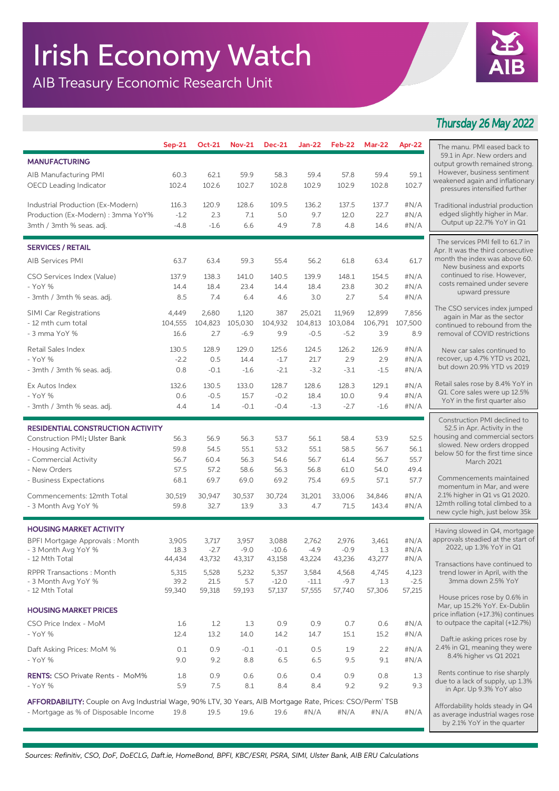## Irish Economy Watch

AIB Treasury Economic Research Unit



## *Thursday 26 May 2022*

|                                                                                                           | $Sep-21$      | <b>Oct-21</b>   | <b>Nov-21</b>   | <b>Dec-21</b>    | <b>Jan-22</b>   | Feb-22          | <b>Mar-22</b> | Apr-22       |                                                                                        |
|-----------------------------------------------------------------------------------------------------------|---------------|-----------------|-----------------|------------------|-----------------|-----------------|---------------|--------------|----------------------------------------------------------------------------------------|
|                                                                                                           |               |                 |                 |                  |                 |                 |               |              | The manu. PMI eased back to<br>59.1 in Apr. New orders and                             |
| <b>MANUFACTURING</b>                                                                                      |               |                 |                 |                  |                 |                 |               |              | output growth remained strong.                                                         |
| AIB Manufacturing PMI                                                                                     | 60.3          | 62.1            | 59.9            | 58.3             | 59.4            | 57.8            | 59.4          | 59.1         | However, business sentiment<br>weakened again and inflationary                         |
| OECD Leading Indicator                                                                                    | 102.4         | 102.6           | 102.7           | 102.8            | 102.9           | 102.9           | 102.8         | 102.7        | pressures intensified further                                                          |
| Industrial Production (Ex-Modern)                                                                         | 116.3         | 120.9           | 128.6           | 109.5            | 136.2           | 137.5           | 137.7         | #N/A         |                                                                                        |
| Production (Ex-Modern) : 3mma YoY%                                                                        | $-1.2$        | 2.3             | 7.1             | 5.0              | 9.7             | 12.0            | 22.7          | #N/A         | Traditional industrial production<br>edged slightly higher in Mar.                     |
| 3mth / 3mth % seas. adj.                                                                                  | $-4.8$        | $-1.6$          | 6.6             | 4.9              | 7.8             | 4.8             | 14.6          | #N/A         | Output up 22.7% YoY in Q1                                                              |
|                                                                                                           |               |                 |                 |                  |                 |                 |               |              |                                                                                        |
| <b>SERVICES / RETAIL</b>                                                                                  |               |                 |                 |                  |                 |                 |               |              | The services PMI fell to 61.7 in<br>Apr. It was the third consecutive                  |
| AIB Services PMI                                                                                          | 63.7          | 63.4            | 59.3            | 55.4             | 56.2            | 61.8            | 63.4          | 61.7         | month the index was above 60.                                                          |
|                                                                                                           |               |                 |                 |                  |                 |                 |               |              | New business and exports<br>continued to rise. However,<br>costs remained under severe |
| CSO Services Index (Value)                                                                                | 137.9         | 138.3           | 141.0           | 140.5            | 139.9           | 148.1           | 154.5         | #N/A         |                                                                                        |
| - YoY %                                                                                                   | 14.4          | 18.4            | 23.4            | 14.4             | 18.4            | 23.8<br>2.7     | 30.2<br>5.4   | #N/A<br>#N/A | upward pressure                                                                        |
| - 3mth / 3mth % seas. adj.                                                                                | 8.5           | 7.4             | 6.4             | 4.6              | 3.0             |                 |               |              |                                                                                        |
| <b>SIMI Car Registrations</b>                                                                             | 4,449         | 2,680           | 1,120           | 387              | 25,021          | 11,969          | 12,899        | 7,856        | The CSO services index jumped<br>again in Mar as the sector                            |
| - 12 mth cum total                                                                                        | 104,555       | 104,823         | 105,030         | 104,932          | 104,813         | 103,084         | 106,791       | 107,500      | continued to rebound from the                                                          |
| - 3 mma YoY %                                                                                             | 16.6          | 2.7             | $-6.9$          | 9.9              | $-0.5$          | $-5.2$          | 3.9           | 8.9          | removal of COVID restrictions                                                          |
| Retail Sales Index                                                                                        | 130.5         | 128.9           | 129.0           | 125.6            | 124.5           | 126.2           | 126.9         | #N/A         | New car sales continued to                                                             |
| - YoY %                                                                                                   | $-2.2$        | 0.5             | 14.4            | $-1.7$           | 21.7            | 2.9             | 2.9           | #N/A         | recover, up 4.7% YTD vs 2021,                                                          |
| - 3mth / 3mth % seas. adj.                                                                                | 0.8           | $-0.1$          | $-1.6$          | $-2.1$           | $-3.2$          | $-3.1$          | $-1.5$        | #N/A         | but down 20.9% YTD vs 2019                                                             |
| Ex Autos Index                                                                                            | 132.6         | 130.5           | 133.0           | 128.7            | 128.6           | 128.3           | 129.1         | #N/A         | Retail sales rose by 8.4% YoY in                                                       |
| - YoY %                                                                                                   | 0.6           | $-0.5$          | 15.7            | $-0.2$           | 18.4            | 10.0            | 9.4           | #N/A         | Q1. Core sales were up 12.5%                                                           |
| - 3mth / 3mth % seas. adj.                                                                                | 4.4           | 1.4             | $-0.1$          | $-0.4$           | $-1.3$          | $-2.7$          | $-1.6$        | # $N/A$      | YoY in the first quarter also                                                          |
|                                                                                                           |               |                 |                 |                  |                 |                 |               |              | Construction PMI declined to                                                           |
| <b>RESIDENTIAL CONSTRUCTION ACTIVITY</b>                                                                  |               |                 |                 |                  |                 |                 |               |              | 52.5 in Apr. Activity in the                                                           |
| <b>Construction PMI: Ulster Bank</b>                                                                      | 56.3          | 56.9            | 56.3            | 53.7             | 56.1            | 58.4            | 53.9          | 52.5         | housing and commercial sectors<br>slowed. New orders dropped                           |
| - Housing Activity                                                                                        | 59.8          | 54.5            | 55.1            | 53.2             | 55.1            | 58.5            | 56.7          | 56.1         | below 50 for the first time since                                                      |
| - Commercial Activity                                                                                     | 56.7          | 60.4            | 56.3            | 54.6             | 56.7            | 61.4            | 56.7          | 55.7         | March 2021                                                                             |
| - New Orders                                                                                              | 57.5          | 57.2            | 58.6            | 56.3             | 56.8            | 61.0            | 54.0          | 49.4<br>57.7 | Commencements maintained                                                               |
| - Business Expectations                                                                                   | 68.1          | 69.7            | 69.0            | 69.2             | 75.4            | 69.5            | 57.1          |              | momentum in Mar, and were                                                              |
| Commencements: 12mth Total                                                                                | 30,519        | 30,947          | 30,537          | 30,724           | 31,201          | 33,006          | 34,846        | #N/A         | 2.1% higher in Q1 vs Q1 2020.<br>12mth rolling total climbed to a                      |
| - 3 Month Avg YoY %                                                                                       | 59.8          | 32.7            | 13.9            | 3.3              | 4.7             | 71.5            | 143.4         | #N/A         | new cycle high, just below 35k                                                         |
|                                                                                                           |               |                 |                 |                  |                 |                 |               |              |                                                                                        |
| <b>HOUSING MARKET ACTIVITY</b>                                                                            |               |                 |                 |                  |                 |                 |               |              | Having slowed in Q4, mortgage<br>approvals steadied at the start of                    |
| BPFI Mortgage Approvals: Month<br>- 3 Month Avg YoY %                                                     | 3,905<br>18.3 | 3,717<br>$-2.7$ | 3,957<br>$-9.0$ | 3,088<br>$-10.6$ | 2,762<br>$-4.9$ | 2,976<br>$-0.9$ | 3,461<br>1.3  | #N/A<br>#N/A | 2022, up 1.3% YoY in Q1                                                                |
| - 12 Mth Total                                                                                            | 44,434        | 43,732          | 43,317          | 43,158           | 43,224          | 43,236          | 43,277        | #N/A         |                                                                                        |
| <b>RPPR Transactions: Month</b>                                                                           | 5,315         | 5,528           | 5,232           | 5,357            | 3,584           | 4,568           | 4,745         | 4,123        | Transactions have continued to<br>trend lower in April, with the                       |
| - 3 Month Avg YoY %                                                                                       | 39.2          | 21.5            | 5.7             | $-12.0$          | $-11.1$         | $-9.7$          | 1.3           | $-2.5$       | 3mma down 2.5% YoY                                                                     |
| - 12 Mth Total                                                                                            | 59,340        | 59,318          | 59,193          | 57,137           | 57,555          | 57,740          | 57,306        | 57,215       |                                                                                        |
|                                                                                                           |               |                 |                 |                  |                 |                 |               |              | House prices rose by 0.6% in<br>Mar, up 15.2% YoY. Ex-Dublin                           |
| <b>HOUSING MARKET PRICES</b>                                                                              |               |                 |                 |                  |                 |                 |               |              | price inflation (+17.3%) continues                                                     |
| CSO Price Index - MoM                                                                                     | 1.6           | 1.2             | 1.3             | 0.9              | 0.9             | 0.7             | 0.6           | #N/A         | to outpace the capital (+12.7%)                                                        |
| - YoY %                                                                                                   | 12.4          | 13.2            | 14.0            | 14.2             | 14.7            | 15.1            | 15.2          | #N/A         | Daft.ie asking prices rose by                                                          |
| Daft Asking Prices: MoM %                                                                                 | 0.1           | 0.9             | $-0.1$          | $-0.1$           | 0.5             | 1.9             | 2.2           | #N/A         | 2.4% in Q1, meaning they were                                                          |
| - YoY %                                                                                                   | 9.0           | 9.2             | 8.8             | 6.5              | 6.5             | 9.5             | 9.1           | # $N/A$      | 8.4% higher vs Q1 2021                                                                 |
|                                                                                                           |               |                 |                 |                  |                 |                 |               |              | Rents continue to rise sharply                                                         |
| <b>RENTS:</b> CSO Private Rents - MoM%<br>- YoY %                                                         | 1.8<br>5.9    | 0.9<br>7.5      | 0.6<br>8.1      | 0.6<br>8.4       | 0.4<br>8.4      | 0.9<br>9.2      | 0.8<br>9.2    | 1.3<br>9.3   | due to a lack of supply, up 1.3%                                                       |
|                                                                                                           |               |                 |                 |                  |                 |                 |               |              | in Apr. Up 9.3% YoY also                                                               |
| AFFORDABILITY: Couple on Avg Industrial Wage, 90% LTV, 30 Years, AIB Mortgage Rate, Prices: CSO/Perm' TSB |               |                 |                 |                  |                 |                 |               |              | Affordability holds steady in Q4                                                       |
| - Mortgage as % of Disposable Income                                                                      | 19.8          | 19.5            | 19.6            | 19.6             | #N/A            | #N/A            | #N/A          | #N/A         | as average industrial wages rose                                                       |
|                                                                                                           |               |                 |                 |                  |                 |                 |               |              | by 2.1% YoY in the quarter                                                             |